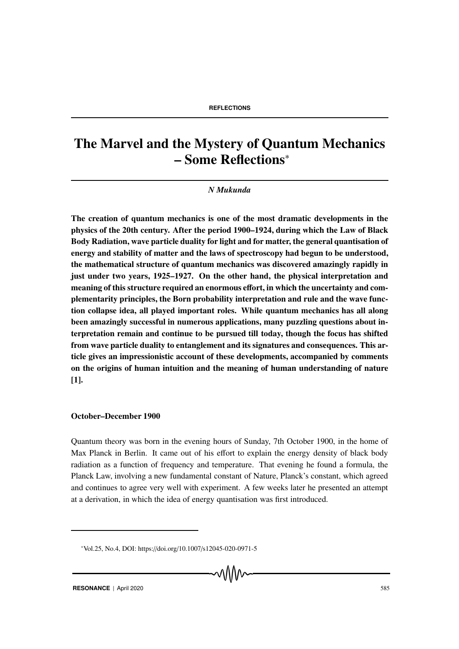# The Marvel and the Mystery of Quantum Mechanics – Some Reflections<sup>∗</sup>

*N Mukunda*

The creation of quantum mechanics is one of the most dramatic developments in the physics of the 20th century. After the period 1900–1924, during which the Law of Black Body Radiation, wave particle duality for light and for matter, the general quantisation of energy and stability of matter and the laws of spectroscopy had begun to be understood, the mathematical structure of quantum mechanics was discovered amazingly rapidly in just under two years, 1925–1927. On the other hand, the physical interpretation and meaning of this structure required an enormous effort, in which the uncertainty and complementarity principles, the Born probability interpretation and rule and the wave function collapse idea, all played important roles. While quantum mechanics has all along been amazingly successful in numerous applications, many puzzling questions about interpretation remain and continue to be pursued till today, though the focus has shifted from wave particle duality to entanglement and its signatures and consequences. This article gives an impressionistic account of these developments, accompanied by comments on the origins of human intuition and the meaning of human understanding of nature [1].

## October–December 1900

Quantum theory was born in the evening hours of Sunday, 7th October 1900, in the home of Max Planck in Berlin. It came out of his effort to explain the energy density of black body radiation as a function of frequency and temperature. That evening he found a formula, the Planck Law, involving a new fundamental constant of Nature, Planck's constant, which agreed and continues to agree very well with experiment. A few weeks later he presented an attempt at a derivation, in which the idea of energy quantisation was first introduced.

MM

<sup>∗</sup>Vol.25, No.4, DOI: https://doi.org/10.1007/s12045-020-0971-5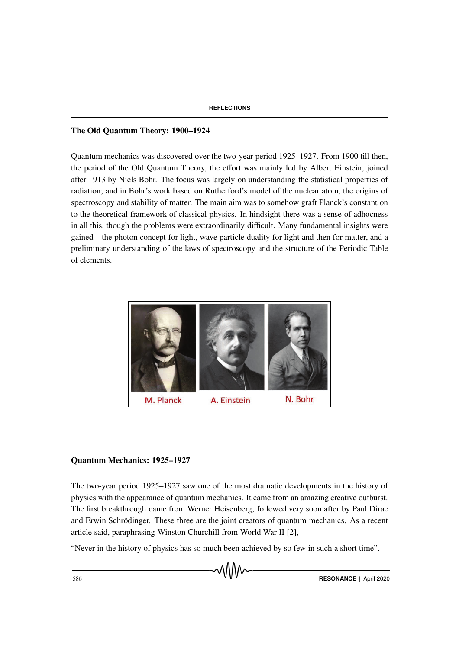## The Old Quantum Theory: 1900–1924

Quantum mechanics was discovered over the two-year period 1925–1927. From 1900 till then, the period of the Old Quantum Theory, the effort was mainly led by Albert Einstein, joined after 1913 by Niels Bohr. The focus was largely on understanding the statistical properties of radiation; and in Bohr's work based on Rutherford's model of the nuclear atom, the origins of spectroscopy and stability of matter. The main aim was to somehow graft Planck's constant on to the theoretical framework of classical physics. In hindsight there was a sense of adhocness in all this, though the problems were extraordinarily difficult. Many fundamental insights were gained – the photon concept for light, wave particle duality for light and then for matter, and a preliminary understanding of the laws of spectroscopy and the structure of the Periodic Table of elements.



### Quantum Mechanics: 1925–1927

The two-year period 1925–1927 saw one of the most dramatic developments in the history of physics with the appearance of quantum mechanics. It came from an amazing creative outburst. The first breakthrough came from Werner Heisenberg, followed very soon after by Paul Dirac and Erwin Schrödinger. These three are the joint creators of quantum mechanics. As a recent article said, paraphrasing Winston Churchill from World War II [2],

"Never in the history of physics has so much been achieved by so few in such a short time".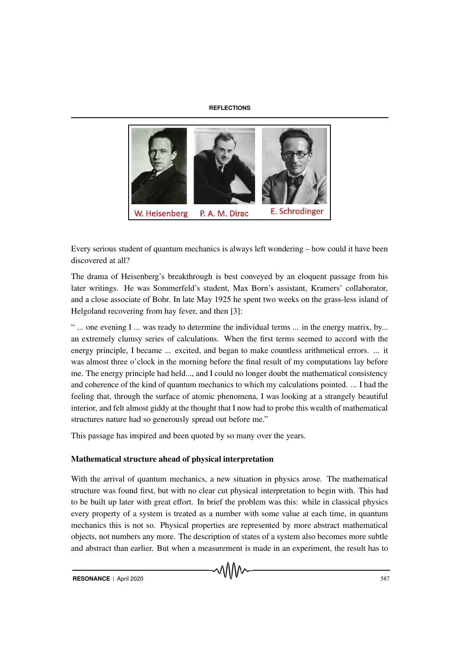#### **REFLECTIONS**



Every serious student of quantum mechanics is always left wondering – how could it have been discovered at all?

The drama of Heisenberg's breakthrough is best conveyed by an eloquent passage from his later writings. He was Sommerfeld's student, Max Born's assistant, Kramers' collaborator, and a close associate of Bohr. In late May 1925 he spent two weeks on the grass-less island of Helgoland recovering from hay fever, and then [3]:

" ... one evening I ... was ready to determine the individual terms ... in the energy matrix, by... an extremely clumsy series of calculations. When the first terms seemed to accord with the energy principle, I became ... excited, and began to make countless arithmetical errors. ... it was almost three o'clock in the morning before the final result of my computations lay before me. The energy principle had held..., and I could no longer doubt the mathematical consistency and coherence of the kind of quantum mechanics to which my calculations pointed. ... I had the feeling that, through the surface of atomic phenomena, I was looking at a strangely beautiful interior, and felt almost giddy at the thought that I now had to probe this wealth of mathematical structures nature had so generously spread out before me."

This passage has inspired and been quoted by so many over the years.

# Mathematical structure ahead of physical interpretation

With the arrival of quantum mechanics, a new situation in physics arose. The mathematical structure was found first, but with no clear cut physical interpretation to begin with. This had to be built up later with great effort. In brief the problem was this: while in classical physics every property of a system is treated as a number with some value at each time, in quantum mechanics this is not so. Physical properties are represented by more abstract mathematical objects, not numbers any more. The description of states of a system also becomes more subtle and abstract than earlier. But when a measurement is made in an experiment, the result has to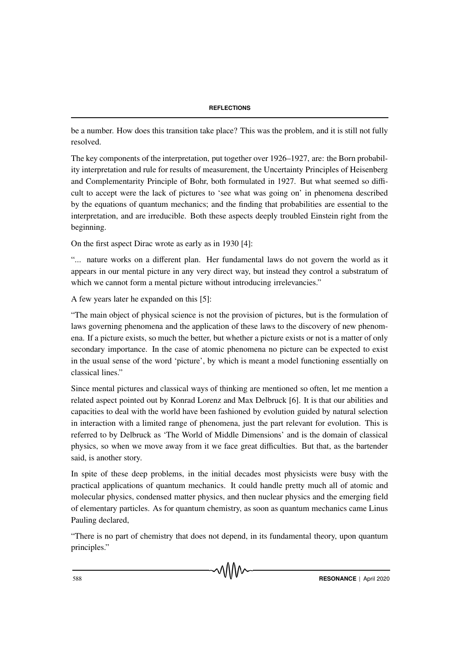be a number. How does this transition take place? This was the problem, and it is still not fully resolved.

The key components of the interpretation, put together over 1926–1927, are: the Born probability interpretation and rule for results of measurement, the Uncertainty Principles of Heisenberg and Complementarity Principle of Bohr, both formulated in 1927. But what seemed so difficult to accept were the lack of pictures to 'see what was going on' in phenomena described by the equations of quantum mechanics; and the finding that probabilities are essential to the interpretation, and are irreducible. Both these aspects deeply troubled Einstein right from the beginning.

On the first aspect Dirac wrote as early as in 1930 [4]:

"... nature works on a different plan. Her fundamental laws do not govern the world as it appears in our mental picture in any very direct way, but instead they control a substratum of which we cannot form a mental picture without introducing irrelevancies."

A few years later he expanded on this [5]:

"The main object of physical science is not the provision of pictures, but is the formulation of laws governing phenomena and the application of these laws to the discovery of new phenomena. If a picture exists, so much the better, but whether a picture exists or not is a matter of only secondary importance. In the case of atomic phenomena no picture can be expected to exist in the usual sense of the word 'picture', by which is meant a model functioning essentially on classical lines."

Since mental pictures and classical ways of thinking are mentioned so often, let me mention a related aspect pointed out by Konrad Lorenz and Max Delbruck [6]. It is that our abilities and capacities to deal with the world have been fashioned by evolution guided by natural selection in interaction with a limited range of phenomena, just the part relevant for evolution. This is referred to by Delbruck as 'The World of Middle Dimensions' and is the domain of classical physics, so when we move away from it we face great difficulties. But that, as the bartender said, is another story.

In spite of these deep problems, in the initial decades most physicists were busy with the practical applications of quantum mechanics. It could handle pretty much all of atomic and molecular physics, condensed matter physics, and then nuclear physics and the emerging field of elementary particles. As for quantum chemistry, as soon as quantum mechanics came Linus Pauling declared,

"There is no part of chemistry that does not depend, in its fundamental theory, upon quantum principles."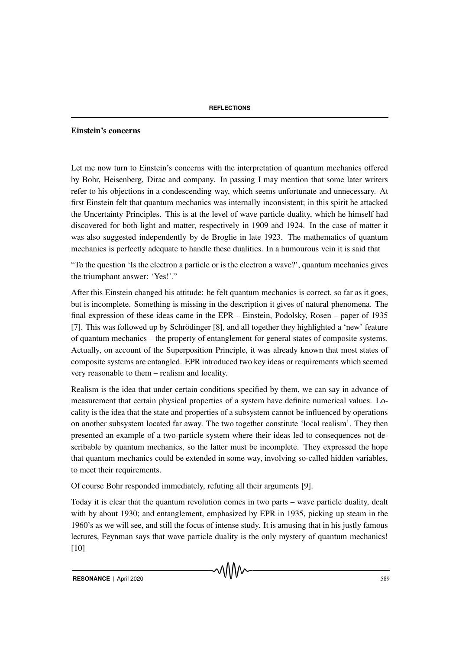## Einstein's concerns

Let me now turn to Einstein's concerns with the interpretation of quantum mechanics offered by Bohr, Heisenberg, Dirac and company. In passing I may mention that some later writers refer to his objections in a condescending way, which seems unfortunate and unnecessary. At first Einstein felt that quantum mechanics was internally inconsistent; in this spirit he attacked the Uncertainty Principles. This is at the level of wave particle duality, which he himself had discovered for both light and matter, respectively in 1909 and 1924. In the case of matter it was also suggested independently by de Broglie in late 1923. The mathematics of quantum mechanics is perfectly adequate to handle these dualities. In a humourous vein it is said that

"To the question 'Is the electron a particle or is the electron a wave?', quantum mechanics gives the triumphant answer: 'Yes!'."

After this Einstein changed his attitude: he felt quantum mechanics is correct, so far as it goes, but is incomplete. Something is missing in the description it gives of natural phenomena. The final expression of these ideas came in the EPR – Einstein, Podolsky, Rosen – paper of 1935 [7]. This was followed up by Schrödinger [8], and all together they highlighted a 'new' feature of quantum mechanics – the property of entanglement for general states of composite systems. Actually, on account of the Superposition Principle, it was already known that most states of composite systems are entangled. EPR introduced two key ideas or requirements which seemed very reasonable to them – realism and locality.

Realism is the idea that under certain conditions specified by them, we can say in advance of measurement that certain physical properties of a system have definite numerical values. Locality is the idea that the state and properties of a subsystem cannot be influenced by operations on another subsystem located far away. The two together constitute 'local realism'. They then presented an example of a two-particle system where their ideas led to consequences not describable by quantum mechanics, so the latter must be incomplete. They expressed the hope that quantum mechanics could be extended in some way, involving so-called hidden variables, to meet their requirements.

Of course Bohr responded immediately, refuting all their arguments [9].

Today it is clear that the quantum revolution comes in two parts – wave particle duality, dealt with by about 1930; and entanglement, emphasized by EPR in 1935, picking up steam in the 1960's as we will see, and still the focus of intense study. It is amusing that in his justly famous lectures, Feynman says that wave particle duality is the only mystery of quantum mechanics! [10]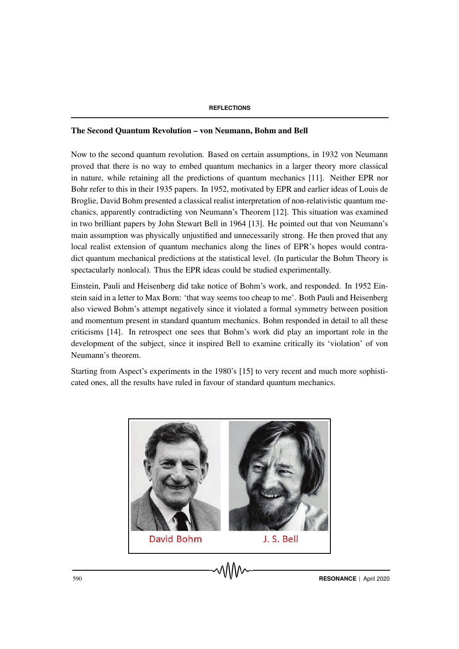#### **REFLECTIONS**

## The Second Quantum Revolution – von Neumann, Bohm and Bell

Now to the second quantum revolution. Based on certain assumptions, in 1932 von Neumann proved that there is no way to embed quantum mechanics in a larger theory more classical in nature, while retaining all the predictions of quantum mechanics [11]. Neither EPR nor Bohr refer to this in their 1935 papers. In 1952, motivated by EPR and earlier ideas of Louis de Broglie, David Bohm presented a classical realist interpretation of non-relativistic quantum mechanics, apparently contradicting von Neumann's Theorem [12]. This situation was examined in two brilliant papers by John Stewart Bell in 1964 [13]. He pointed out that von Neumann's main assumption was physically unjustified and unnecessarily strong. He then proved that any local realist extension of quantum mechanics along the lines of EPR's hopes would contradict quantum mechanical predictions at the statistical level. (In particular the Bohm Theory is spectacularly nonlocal). Thus the EPR ideas could be studied experimentally.

Einstein, Pauli and Heisenberg did take notice of Bohm's work, and responded. In 1952 Einstein said in a letter to Max Born: 'that way seems too cheap to me'. Both Pauli and Heisenberg also viewed Bohm's attempt negatively since it violated a formal symmetry between position and momentum present in standard quantum mechanics. Bohm responded in detail to all these criticisms [14]. In retrospect one sees that Bohm's work did play an important role in the development of the subject, since it inspired Bell to examine critically its 'violation' of von Neumann's theorem.

Starting from Aspect's experiments in the 1980's [15] to very recent and much more sophisticated ones, all the results have ruled in favour of standard quantum mechanics.



590 **RESONANCE** | April 2020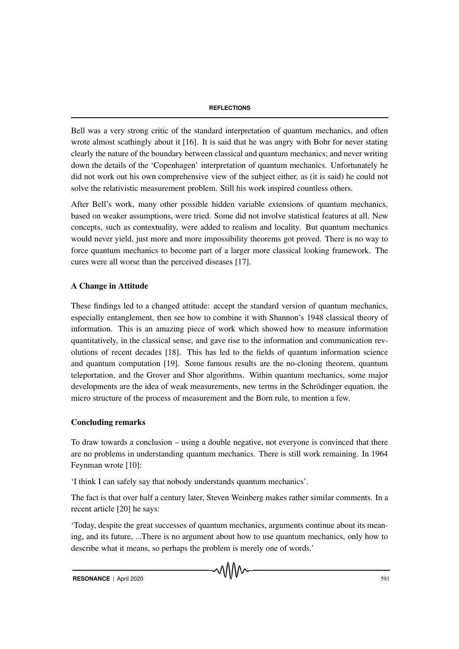Bell was a very strong critic of the standard interpretation of quantum mechanics, and often wrote almost scathingly about it [16]. It is said that he was angry with Bohr for never stating clearly the nature of the boundary between classical and quantum mechanics; and never writing down the details of the 'Copenhagen' interpretation of quantum mechanics. Unfortunately he did not work out his own comprehensive view of the subject either, as (it is said) he could not solve the relativistic measurement problem. Still his work inspired countless others.

After Bell's work, many other possible hidden variable extensions of quantum mechanics, based on weaker assumptions, were tried. Some did not involve statistical features at all. New concepts, such as contextuality, were added to realism and locality. But quantum mechanics would never yield, just more and more impossibility theorems got proved. There is no way to force quantum mechanics to become part of a larger more classical looking framework. The cures were all worse than the perceived diseases [17].

# A Change in Attitude

These findings led to a changed attitude: accept the standard version of quantum mechanics, especially entanglement, then see how to combine it with Shannon's 1948 classical theory of information. This is an amazing piece of work which showed how to measure information quantitatively, in the classical sense, and gave rise to the information and communication revolutions of recent decades [18]. This has led to the fields of quantum information science and quantum computation [19]. Some famous results are the no-cloning theorem, quantum teleportation, and the Grover and Shor algorithms. Within quantum mechanics, some major developments are the idea of weak measurements, new terms in the Schrödinger equation, the micro structure of the process of measurement and the Born rule, to mention a few.

# Concluding remarks

To draw towards a conclusion – using a double negative, not everyone is convinced that there are no problems in understanding quantum mechanics. There is still work remaining. In 1964 Feynman wrote [10]:

'I think I can safely say that nobody understands quantum mechanics'.

The fact is that over half a century later, Steven Weinberg makes rather similar comments. In a recent article [20] he says:

'Today, despite the great successes of quantum mechanics, arguments continue about its meaning, and its future, ...There is no argument about how to use quantum mechanics, only how to describe what it means, so perhaps the problem is merely one of words.'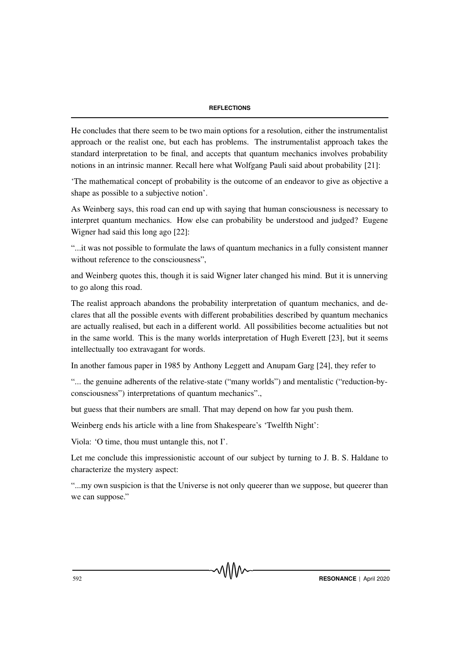#### **REFLECTIONS**

He concludes that there seem to be two main options for a resolution, either the instrumentalist approach or the realist one, but each has problems. The instrumentalist approach takes the standard interpretation to be final, and accepts that quantum mechanics involves probability notions in an intrinsic manner. Recall here what Wolfgang Pauli said about probability [21]:

'The mathematical concept of probability is the outcome of an endeavor to give as objective a shape as possible to a subjective notion'.

As Weinberg says, this road can end up with saying that human consciousness is necessary to interpret quantum mechanics. How else can probability be understood and judged? Eugene Wigner had said this long ago [22]:

"...it was not possible to formulate the laws of quantum mechanics in a fully consistent manner without reference to the consciousness",

and Weinberg quotes this, though it is said Wigner later changed his mind. But it is unnerving to go along this road.

The realist approach abandons the probability interpretation of quantum mechanics, and declares that all the possible events with different probabilities described by quantum mechanics are actually realised, but each in a different world. All possibilities become actualities but not in the same world. This is the many worlds interpretation of Hugh Everett [23], but it seems intellectually too extravagant for words.

In another famous paper in 1985 by Anthony Leggett and Anupam Garg [24], they refer to

"... the genuine adherents of the relative-state ("many worlds") and mentalistic ("reduction-byconsciousness") interpretations of quantum mechanics".,

but guess that their numbers are small. That may depend on how far you push them.

Weinberg ends his article with a line from Shakespeare's 'Twelfth Night':

Viola: 'O time, thou must untangle this, not I'.

Let me conclude this impressionistic account of our subject by turning to J. B. S. Haldane to characterize the mystery aspect:

"...my own suspicion is that the Universe is not only queerer than we suppose, but queerer than we can suppose."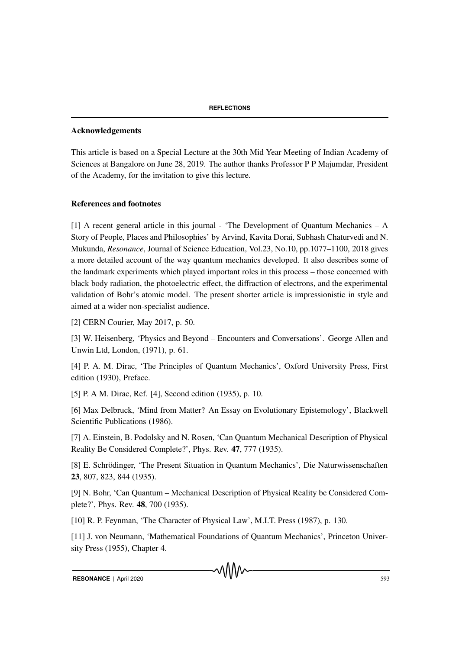# Acknowledgements

This article is based on a Special Lecture at the 30th Mid Year Meeting of Indian Academy of Sciences at Bangalore on June 28, 2019. The author thanks Professor P P Majumdar, President of the Academy, for the invitation to give this lecture.

# References and footnotes

[1] A recent general article in this journal - 'The Development of Quantum Mechanics – A Story of People, Places and Philosophies' by Arvind, Kavita Dorai, Subhash Chaturvedi and N. Mukunda, *Resonance*, Journal of Science Education, Vol.23, No.10, pp.1077–1100, 2018 gives a more detailed account of the way quantum mechanics developed. It also describes some of the landmark experiments which played important roles in this process – those concerned with black body radiation, the photoelectric effect, the diffraction of electrons, and the experimental validation of Bohr's atomic model. The present shorter article is impressionistic in style and aimed at a wider non-specialist audience.

[2] CERN Courier, May 2017, p. 50.

[3] W. Heisenberg, 'Physics and Beyond – Encounters and Conversations'. George Allen and Unwin Ltd, London, (1971), p. 61.

[4] P. A. M. Dirac, 'The Principles of Quantum Mechanics', Oxford University Press, First edition (1930), Preface.

[5] P. A M. Dirac, Ref. [4], Second edition (1935), p. 10.

[6] Max Delbruck, 'Mind from Matter? An Essay on Evolutionary Epistemology', Blackwell Scientific Publications (1986).

[7] A. Einstein, B. Podolsky and N. Rosen, 'Can Quantum Mechanical Description of Physical Reality Be Considered Complete?', Phys. Rev. 47, 777 (1935).

[8] E. Schrödinger, 'The Present Situation in Quantum Mechanics', Die Naturwissenschaften 23, 807, 823, 844 (1935).

[9] N. Bohr, 'Can Quantum – Mechanical Description of Physical Reality be Considered Complete?', Phys. Rev. 48, 700 (1935).

[10] R. P. Feynman, 'The Character of Physical Law', M.I.T. Press (1987), p. 130.

[11] J. von Neumann, 'Mathematical Foundations of Quantum Mechanics', Princeton University Press (1955), Chapter 4.